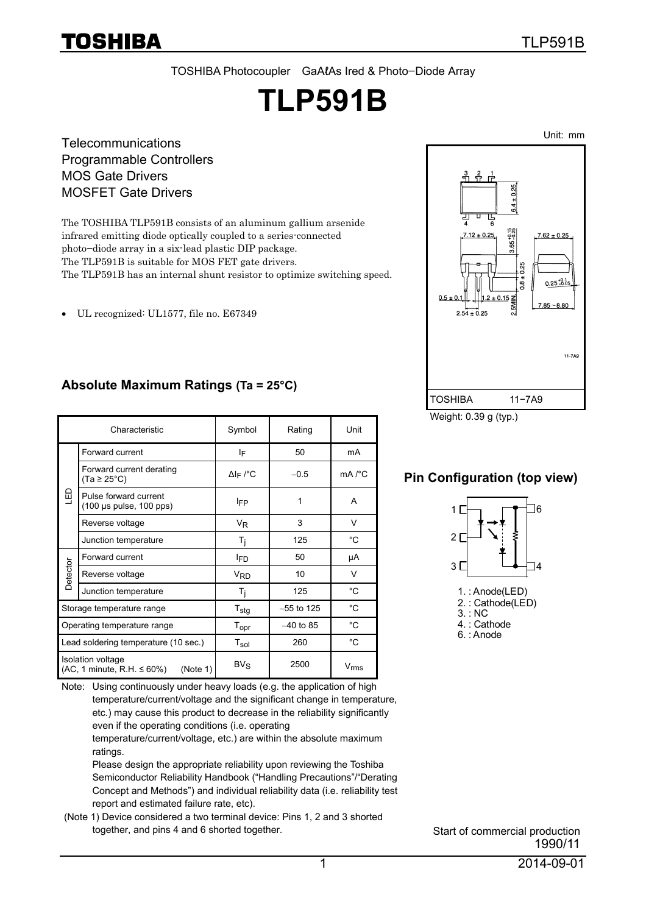TOSHIBA Photocoupler GaAℓAs Ired & Photo−Diode Array

# **TLP591B**

**Telecommunications** Programmable Controllers MOS Gate Drivers MOSFET Gate Drivers

The TOSHIBA TLP591B consists of an aluminum gallium arsenide infrared emitting diode optically coupled to a series-connected photo−diode array in a six-lead plastic DIP package. The TLP591B is suitable for MOS FET gate drivers. The TLP591B has an internal shunt resistor to optimize switching speed.

• UL recognized: UL1577, file no. E67349



## **Absolute Maximum Ratings (Ta = 25°C)**

|                                                                    | Characteristic                                                       | Symbol                      | Rating       | Unit                  |
|--------------------------------------------------------------------|----------------------------------------------------------------------|-----------------------------|--------------|-----------------------|
| م<br>پا                                                            | Forward current                                                      | ΙF                          | 50           | mA                    |
|                                                                    | Forward current derating<br>$(Ta \geq 25^{\circ}C)$                  | Δl <sub>F</sub> /°C         | $-0.5$       | $mA$ / ${}^{\circ}$ C |
|                                                                    | Pulse forward current<br>$(100 \mu s \text{ pulse}, 100 \text{pps})$ | IFP                         | 1            | A                     |
|                                                                    | Reverse voltage                                                      | V <sub>R</sub>              | 3            | $\vee$                |
|                                                                    | Junction temperature                                                 | $T_i$                       | 125          | °C                    |
|                                                                    | Forward current                                                      | l <sub>FD</sub>             | 50           | μA                    |
| Detector                                                           | Reverse voltage                                                      | <b>V<sub>RD</sub></b>       | 10           | $\vee$                |
|                                                                    | Junction temperature                                                 | $T_i$                       | 125          | °C                    |
| Storage temperature range                                          |                                                                      | $\mathsf{T}_{\textsf{stg}}$ | $-55$ to 125 | °C                    |
| Operating temperature range                                        |                                                                      | $T_{\mathsf{opt}}$          | $-40$ to 85  | $^{\circ}$ C          |
| Lead soldering temperature (10 sec.)                               |                                                                      | $T_{sol}$                   | 260          | °C                    |
| <b>Isolation voltage</b><br>(AC, 1 minute, R.H. ≤ 60%)<br>(Note 1) |                                                                      | <b>BVs</b>                  | 2500         | $V_{\text{rms}}$      |

# **Pin Configuration (top view)**



2. : Cathode(LED)

4. : Cathode

Note: Using continuously under heavy loads (e.g. the application of high temperature/current/voltage and the significant change in temperature, etc.) may cause this product to decrease in the reliability significantly even if the operating conditions (i.e. operating temperature/current/voltage, etc.) are within the absolute maximum ratings. Please design the appropriate reliability upon reviewing the Toshiba

Semiconductor Reliability Handbook ("Handling Precautions"/"Derating Concept and Methods") and individual reliability data (i.e. reliability test report and estimated failure rate, etc).

 (Note 1) Device considered a two terminal device: Pins 1, 2 and 3 shorted together, and pins 4 and 6 shorted together.

Start of commercial production 1990/11

<sup>3. :</sup> NC

<sup>6. :</sup> Anode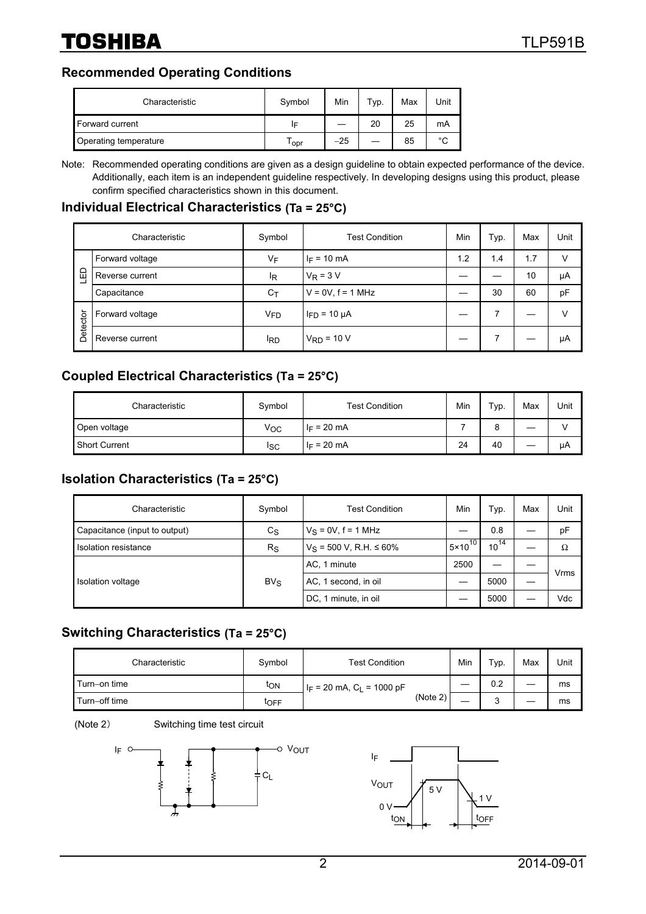## **Recommended Operating Conditions**

| Characteristic        | Symbol | Min   | Тyр. | Max | Unit |
|-----------------------|--------|-------|------|-----|------|
| Forward current       | IF     |       | 20   | 25  | mA   |
| Operating temperature | opr    | $-25$ |      | 85  | °C   |

Note: Recommended operating conditions are given as a design guideline to obtain expected performance of the device. Additionally, each item is an independent guideline respectively. In developing designs using this product, please confirm specified characteristics shown in this document.

#### **Individual Electrical Characteristics (Ta = 25°C)**

| Characteristic |                 | Symbol          | <b>Test Condition</b>  | Min | Typ. | Max | Unit |
|----------------|-----------------|-----------------|------------------------|-----|------|-----|------|
|                | Forward voltage | VF              | $I_F = 10$ mA          | 1.2 | 1.4  | 1.7 | ν    |
| 品              | Reverse current | ΙŖ              | $V_R = 3 V$            |     |      | 10  | μA   |
|                | Capacitance     | $C_T$           | $V = 0V$ , $f = 1$ MHz |     | 30   | 60  | pF   |
| Detector       | Forward voltage | V <sub>FD</sub> | $I_{FD}$ = 10 $\mu$ A  |     |      |     | ν    |
|                | Reverse current | <sup>I</sup> RD | $V_{RD}$ = 10 V        |     |      |     | μA   |

#### **Coupled Electrical Characteristics (Ta = 25°C)**

| Characteristic       | Symbol | <b>Test Condition</b> | Min | Typ.   | Max | Unit |
|----------------------|--------|-----------------------|-----|--------|-----|------|
| Open voltage         | Voc    | $I_F = 20$ mA         |     | о<br>ŏ |     |      |
| <b>Short Current</b> | lsc    | $I_F = 20 \text{ mA}$ | 24  | 40     |     | μA   |

#### **Isolation Characteristics (Ta = 25°C)**

| Characteristic                | Symbol      | <b>Test Condition</b>          | Min                | Typ.      | Max | Unit |
|-------------------------------|-------------|--------------------------------|--------------------|-----------|-----|------|
| Capacitance (input to output) | $c_{\rm S}$ | $V_S = 0V$ , f = 1 MHz         |                    | 0.8       |     | pF   |
| Isolation resistance          | $R_{\rm S}$ | $V_S$ = 500 V, R.H. $\leq$ 60% | $5 \times 10^{10}$ | $10^{14}$ |     | Ω    |
|                               | $BV_S$      | AC, 1 minute                   | 2500               |           |     | Vrms |
| Isolation voltage             |             | AC, 1 second, in oil           |                    | 5000      |     |      |
|                               |             | DC, 1 minute, in oil           |                    | 5000      |     | Vdc  |

#### **Switching Characteristics (Ta = 25°C)**

| Characteristic | Symbol | <b>Test Condition</b>                   | Min | Typ. | Max | Unit |
|----------------|--------|-----------------------------------------|-----|------|-----|------|
| Turn-on time   | ton    | $I_F$ = 20 mA, C <sub>L</sub> = 1000 pF |     | 0.2  |     | ms   |
| Turn-off time  | toff   | (Note 2)                                |     | ັ    |     | ms   |

(Note 2) Switching time test circuit



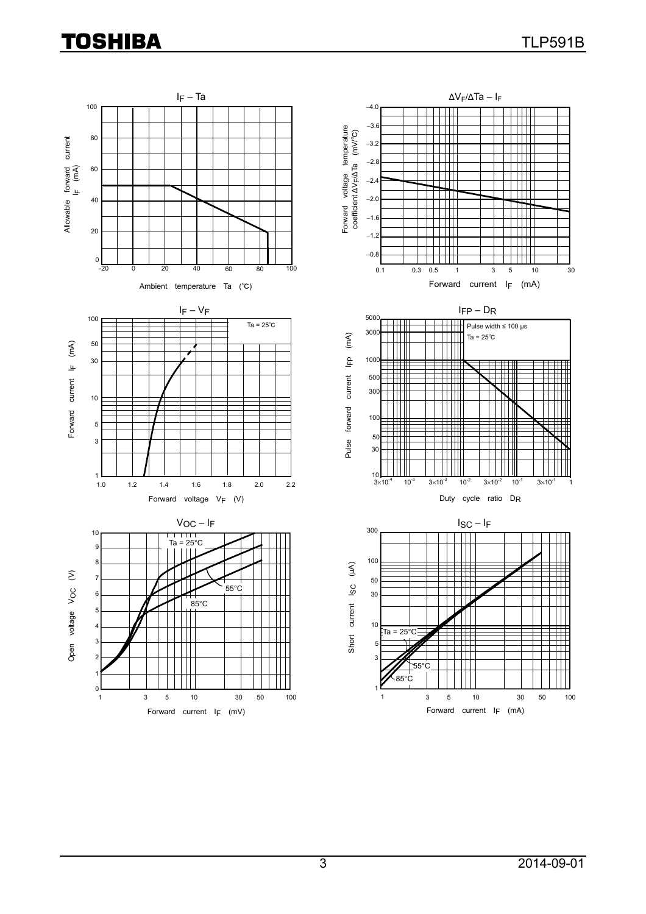# **TOSHIBA**

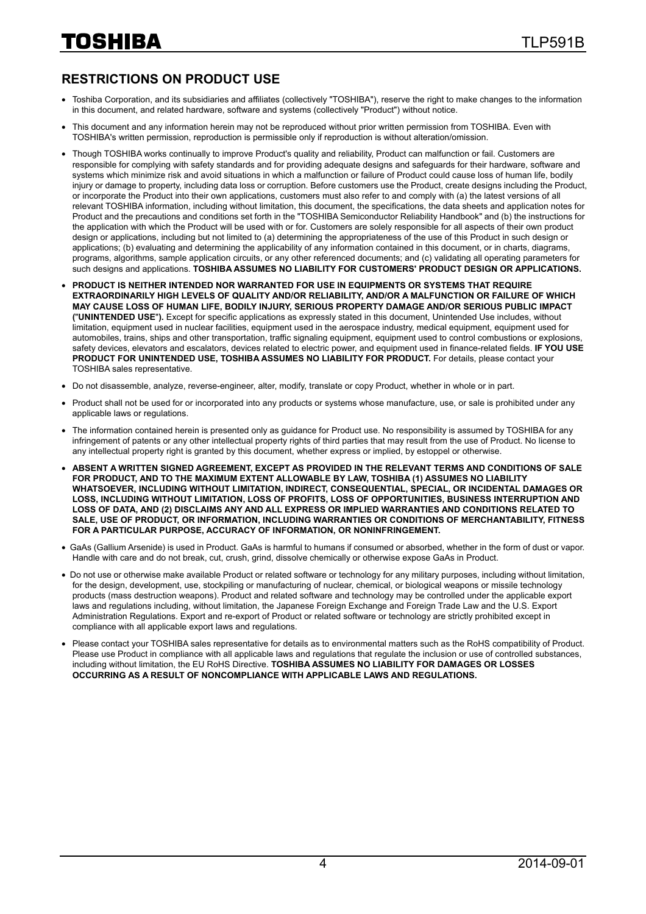# **RESTRICTIONS ON PRODUCT USE**

- Toshiba Corporation, and its subsidiaries and affiliates (collectively "TOSHIBA"), reserve the right to make changes to the information in this document, and related hardware, software and systems (collectively "Product") without notice.
- This document and any information herein may not be reproduced without prior written permission from TOSHIBA. Even with TOSHIBA's written permission, reproduction is permissible only if reproduction is without alteration/omission.
- Though TOSHIBA works continually to improve Product's quality and reliability, Product can malfunction or fail. Customers are responsible for complying with safety standards and for providing adequate designs and safeguards for their hardware, software and systems which minimize risk and avoid situations in which a malfunction or failure of Product could cause loss of human life, bodily injury or damage to property, including data loss or corruption. Before customers use the Product, create designs including the Product, or incorporate the Product into their own applications, customers must also refer to and comply with (a) the latest versions of all relevant TOSHIBA information, including without limitation, this document, the specifications, the data sheets and application notes for Product and the precautions and conditions set forth in the "TOSHIBA Semiconductor Reliability Handbook" and (b) the instructions for the application with which the Product will be used with or for. Customers are solely responsible for all aspects of their own product design or applications, including but not limited to (a) determining the appropriateness of the use of this Product in such design or applications; (b) evaluating and determining the applicability of any information contained in this document, or in charts, diagrams, programs, algorithms, sample application circuits, or any other referenced documents; and (c) validating all operating parameters for such designs and applications. **TOSHIBA ASSUMES NO LIABILITY FOR CUSTOMERS' PRODUCT DESIGN OR APPLICATIONS.**
- **PRODUCT IS NEITHER INTENDED NOR WARRANTED FOR USE IN EQUIPMENTS OR SYSTEMS THAT REQUIRE EXTRAORDINARILY HIGH LEVELS OF QUALITY AND/OR RELIABILITY, AND/OR A MALFUNCTION OR FAILURE OF WHICH MAY CAUSE LOSS OF HUMAN LIFE, BODILY INJURY, SERIOUS PROPERTY DAMAGE AND/OR SERIOUS PUBLIC IMPACT (**"**UNINTENDED USE**"**).** Except for specific applications as expressly stated in this document, Unintended Use includes, without limitation, equipment used in nuclear facilities, equipment used in the aerospace industry, medical equipment, equipment used for automobiles, trains, ships and other transportation, traffic signaling equipment, equipment used to control combustions or explosions, safety devices, elevators and escalators, devices related to electric power, and equipment used in finance-related fields. **IF YOU USE PRODUCT FOR UNINTENDED USE, TOSHIBA ASSUMES NO LIABILITY FOR PRODUCT.** For details, please contact your TOSHIBA sales representative.
- Do not disassemble, analyze, reverse-engineer, alter, modify, translate or copy Product, whether in whole or in part.
- Product shall not be used for or incorporated into any products or systems whose manufacture, use, or sale is prohibited under any applicable laws or regulations.
- The information contained herein is presented only as quidance for Product use. No responsibility is assumed by TOSHIBA for any infringement of patents or any other intellectual property rights of third parties that may result from the use of Product. No license to any intellectual property right is granted by this document, whether express or implied, by estoppel or otherwise.
- **ABSENT A WRITTEN SIGNED AGREEMENT, EXCEPT AS PROVIDED IN THE RELEVANT TERMS AND CONDITIONS OF SALE FOR PRODUCT, AND TO THE MAXIMUM EXTENT ALLOWABLE BY LAW, TOSHIBA (1) ASSUMES NO LIABILITY WHATSOEVER, INCLUDING WITHOUT LIMITATION, INDIRECT, CONSEQUENTIAL, SPECIAL, OR INCIDENTAL DAMAGES OR LOSS, INCLUDING WITHOUT LIMITATION, LOSS OF PROFITS, LOSS OF OPPORTUNITIES, BUSINESS INTERRUPTION AND LOSS OF DATA, AND (2) DISCLAIMS ANY AND ALL EXPRESS OR IMPLIED WARRANTIES AND CONDITIONS RELATED TO SALE, USE OF PRODUCT, OR INFORMATION, INCLUDING WARRANTIES OR CONDITIONS OF MERCHANTABILITY, FITNESS FOR A PARTICULAR PURPOSE, ACCURACY OF INFORMATION, OR NONINFRINGEMENT.**
- GaAs (Gallium Arsenide) is used in Product. GaAs is harmful to humans if consumed or absorbed, whether in the form of dust or vapor. Handle with care and do not break, cut, crush, grind, dissolve chemically or otherwise expose GaAs in Product.
- Do not use or otherwise make available Product or related software or technology for any military purposes, including without limitation, for the design, development, use, stockpiling or manufacturing of nuclear, chemical, or biological weapons or missile technology products (mass destruction weapons). Product and related software and technology may be controlled under the applicable export laws and regulations including, without limitation, the Japanese Foreign Exchange and Foreign Trade Law and the U.S. Export Administration Regulations. Export and re-export of Product or related software or technology are strictly prohibited except in compliance with all applicable export laws and regulations.
- Please contact your TOSHIBA sales representative for details as to environmental matters such as the RoHS compatibility of Product. Please use Product in compliance with all applicable laws and regulations that regulate the inclusion or use of controlled substances, including without limitation, the EU RoHS Directive. **TOSHIBA ASSUMES NO LIABILITY FOR DAMAGES OR LOSSES OCCURRING AS A RESULT OF NONCOMPLIANCE WITH APPLICABLE LAWS AND REGULATIONS.**